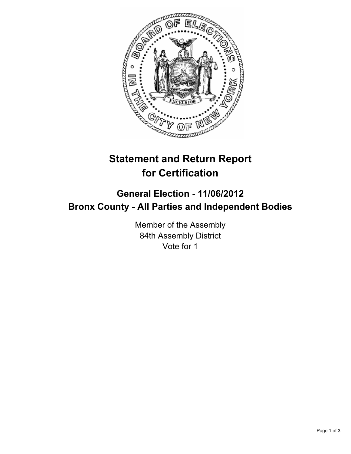

## **Statement and Return Report for Certification**

## **General Election - 11/06/2012 Bronx County - All Parties and Independent Bodies**

Member of the Assembly 84th Assembly District Vote for 1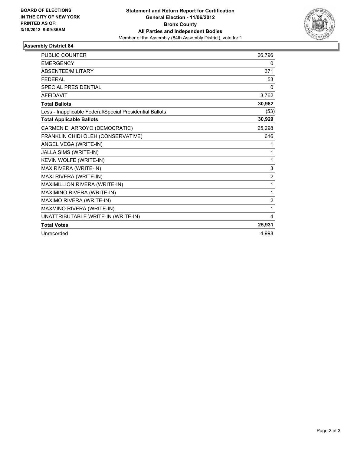

## **Assembly District 84**

| <b>PUBLIC COUNTER</b>                                    | 26,796         |
|----------------------------------------------------------|----------------|
| <b>EMERGENCY</b>                                         | 0              |
| ABSENTEE/MILITARY                                        | 371            |
| <b>FEDERAL</b>                                           | 53             |
| <b>SPECIAL PRESIDENTIAL</b>                              | 0              |
| <b>AFFIDAVIT</b>                                         | 3,762          |
| <b>Total Ballots</b>                                     | 30,982         |
| Less - Inapplicable Federal/Special Presidential Ballots | (53)           |
| <b>Total Applicable Ballots</b>                          | 30,929         |
| CARMEN E. ARROYO (DEMOCRATIC)                            | 25,298         |
| FRANKLIN CHIDI OLEH (CONSERVATIVE)                       | 616            |
| ANGEL VEGA (WRITE-IN)                                    | 1              |
| JALLA SIMS (WRITE-IN)                                    | 1              |
| KEVIN WOLFE (WRITE-IN)                                   | 1              |
| MAX RIVERA (WRITE-IN)                                    | 3              |
| MAXI RIVERA (WRITE-IN)                                   | $\overline{2}$ |
| MAXIMILLION RIVERA (WRITE-IN)                            | 1              |
| MAXIMINO RIVERA (WRITE-IN)                               | 1              |
| MAXIMO RIVERA (WRITE-IN)                                 | $\overline{2}$ |
| MAXMINO RIVERA (WRITE-IN)                                | 1              |
| UNATTRIBUTABLE WRITE-IN (WRITE-IN)                       | 4              |
| <b>Total Votes</b>                                       | 25,931         |
| Unrecorded                                               | 4.998          |